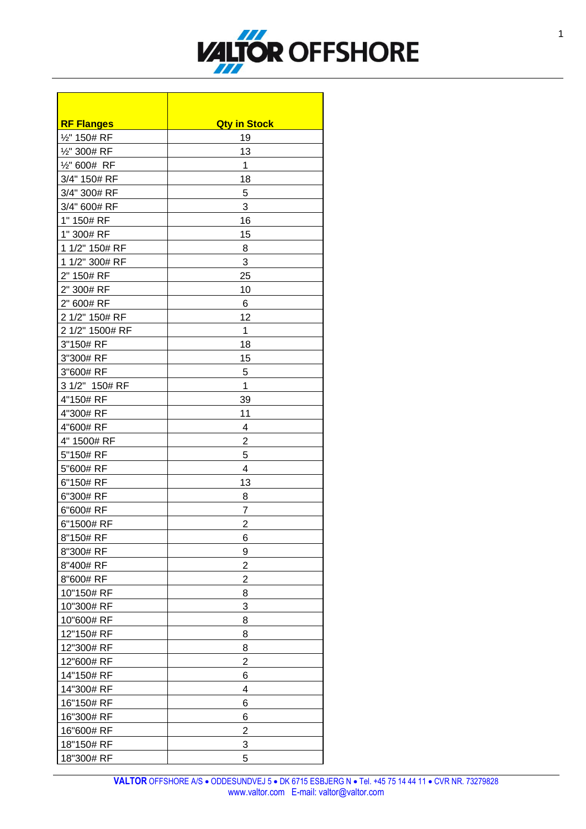

Ē.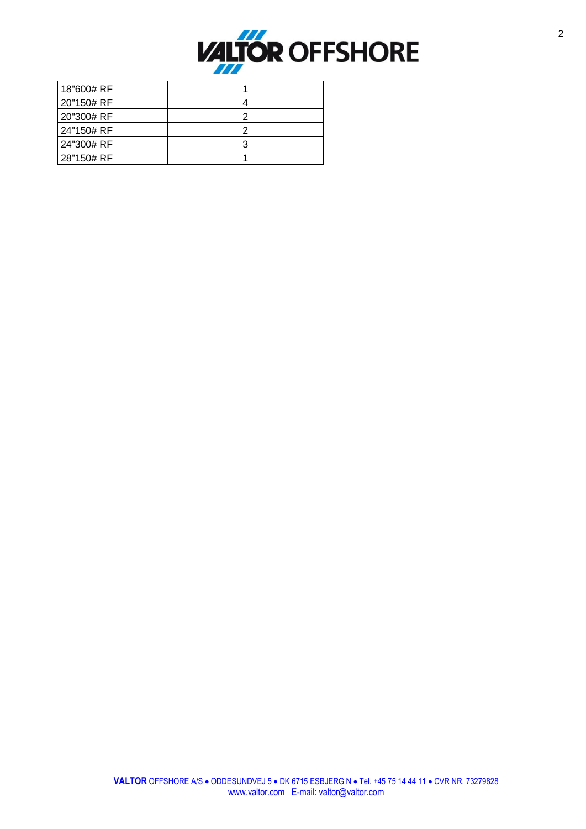

| 18"600# RF |  |
|------------|--|
| 20"150# RF |  |
| 20"300# RF |  |
| 24"150# RF |  |
| 24"300# RF |  |
| 28"150# RF |  |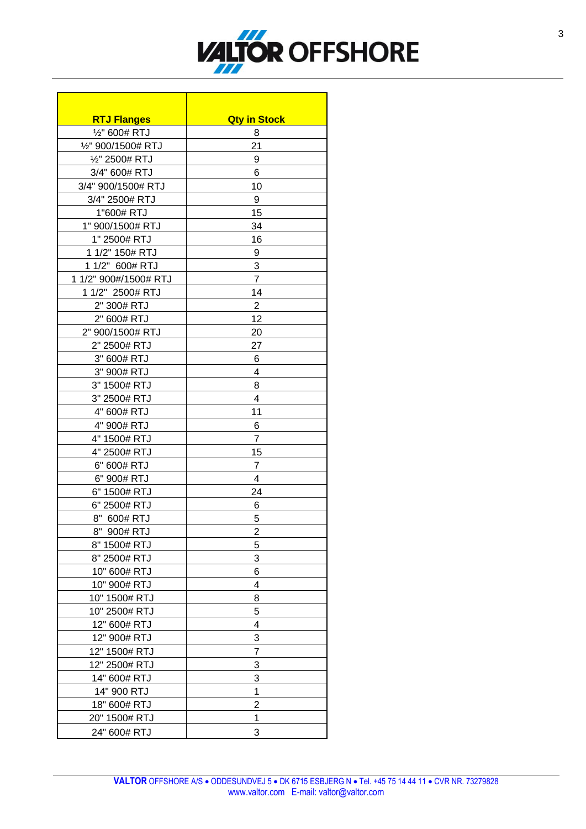

| <b>RTJ Flanges</b>    | <b>Qty in Stock</b>     |
|-----------------------|-------------------------|
| 1/2" 600# RTJ         | 8                       |
| 1/2" 900/1500# RTJ    | 21                      |
| 1/2" 2500# RTJ        | 9                       |
| 3/4" 600# RTJ         | 6                       |
| 3/4" 900/1500# RTJ    | 10                      |
| 3/4" 2500# RTJ        | 9                       |
| 1"600# RTJ            | 15                      |
| 1" 900/1500# RTJ      | 34                      |
| 1" 2500# RTJ          | 16                      |
| 1 1/2" 150# RTJ       | 9                       |
| 1 1/2" 600# RTJ       | 3                       |
| 1 1/2" 900#/1500# RTJ | $\overline{7}$          |
| 1 1/2" 2500# RTJ      | 14                      |
| 2" 300# RTJ           | $\overline{2}$          |
| 2" 600# RTJ           | 12                      |
| 2" 900/1500# RTJ      | 20                      |
| 2" 2500# RTJ          | 27                      |
| 3" 600# RTJ           | 6                       |
| 3" 900# RTJ           | 4                       |
| 3" 1500# RTJ          | 8                       |
| 3" 2500# RTJ          | $\overline{4}$          |
| 4" 600# RTJ           | 11                      |
| 4" 900# RTJ           | 6                       |
| 4" 1500# RTJ          | $\overline{7}$          |
| 4" 2500# RTJ          | 15                      |
| 6" 600# RTJ           | $\overline{7}$          |
| 6" 900# RTJ           | 4                       |
| 6" 1500# RTJ          | 24                      |
| 6" 2500# RTJ          | 6                       |
| 8" 600# RTJ           | 5                       |
| 8" 900# RTJ           | $\overline{\mathbf{c}}$ |
| 8" 1500# RTJ          | 5                       |
| 8" 2500# RTJ          | 3                       |
| 10" 600# RTJ          | 6                       |
| 10" 900# RTJ          | 4                       |
| 10" 1500# RTJ         | 8                       |
| 10" 2500# RTJ         | 5                       |
| 12" 600# RTJ          | 4                       |
| 12" 900# RTJ          | 3                       |
| 12" 1500# RTJ         | 7                       |
| 12" 2500# RTJ         | 3                       |
| 14" 600# RTJ          | 3                       |
| 14" 900 RTJ           | $\mathbf 1$             |
| 18" 600# RTJ          | $\overline{2}$          |
| 20" 1500# RTJ         | 1                       |
| 24" 600# RTJ          | 3                       |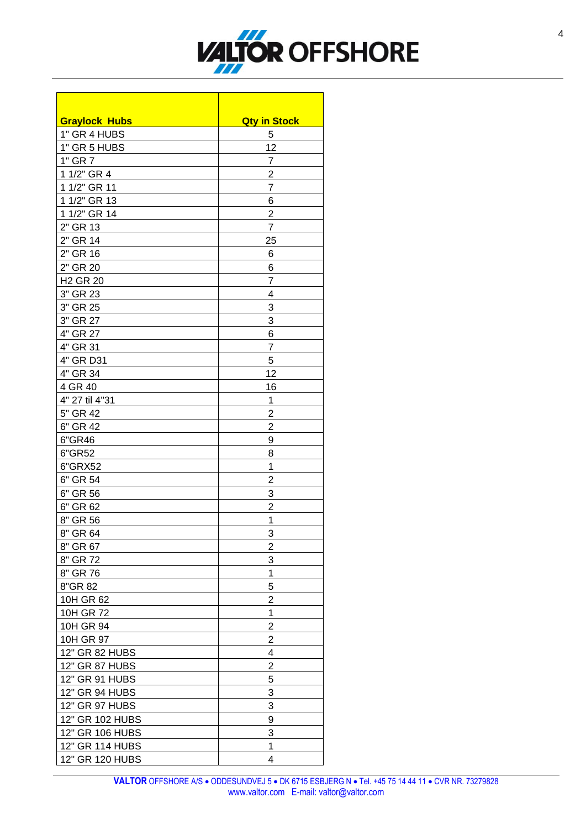

٦

| <b>Graylock Hubs</b>       | <b>Qty in Stock</b> |
|----------------------------|---------------------|
| 1" GR 4 HUBS               | 5                   |
| 1" GR 5 HUBS               | 12                  |
| 1" GR 7                    | 7                   |
| 1 1/2" GR 4                | $\overline{2}$      |
| 1 1/2" GR 11               | $\overline{7}$      |
| 1 1/2" GR 13               | 6                   |
| 1 1/2" GR 14               | $\overline{2}$      |
| 2" GR 13                   | 7                   |
| 2" GR 14                   | 25                  |
| 2" GR 16                   | 6                   |
| 2" GR 20                   | 6                   |
| <b>H<sub>2</sub></b> GR 20 | 7                   |
| 3" GR 23                   | 4                   |
| 3" GR 25                   | 3                   |
| 3" GR 27                   | 3                   |
| 4" GR 27                   | 6                   |
| 4" GR 31                   | 7                   |
| 4" GR D31                  | 5                   |
| 4" GR 34                   | 12                  |
| 4 GR 40                    | 16                  |
| 4" 27 til 4"31             | 1                   |
| 5" GR 42                   | $\overline{2}$      |
| 6" GR 42                   | $\overline{c}$      |
| 6"GR46                     | 9                   |
| 6"GR52                     | 8                   |
| 6"GRX52                    | 1                   |
| 6" GR 54                   | $\overline{c}$      |
| 6" GR 56                   | 3                   |
| 6" GR 62                   | $\overline{2}$      |
| 8" GR 56                   | 1                   |
| 8" GR 64                   | 3                   |
| 8" GR 67                   | 2                   |
| 8" GR 72                   | 3                   |
| 8" GR 76                   | 1                   |
| 8"GR 82                    | 5                   |
| 10H GR 62                  | 2                   |
| 10H GR 72                  | $\mathbf 1$         |
| 10H GR 94                  | $\overline{2}$      |
| 10H GR 97                  | $\overline{2}$      |
| 12" GR 82 HUBS             | 4                   |
| 12" GR 87 HUBS             | 2                   |
| 12" GR 91 HUBS             | 5                   |
| 12" GR 94 HUBS             | 3                   |
| 12" GR 97 HUBS             | 3                   |
| 12" GR 102 HUBS            | 9                   |
| 12" GR 106 HUBS            | 3                   |
| 12" GR 114 HUBS            | $\overline{1}$      |
| 12" GR 120 HUBS            | 4                   |
|                            |                     |

٦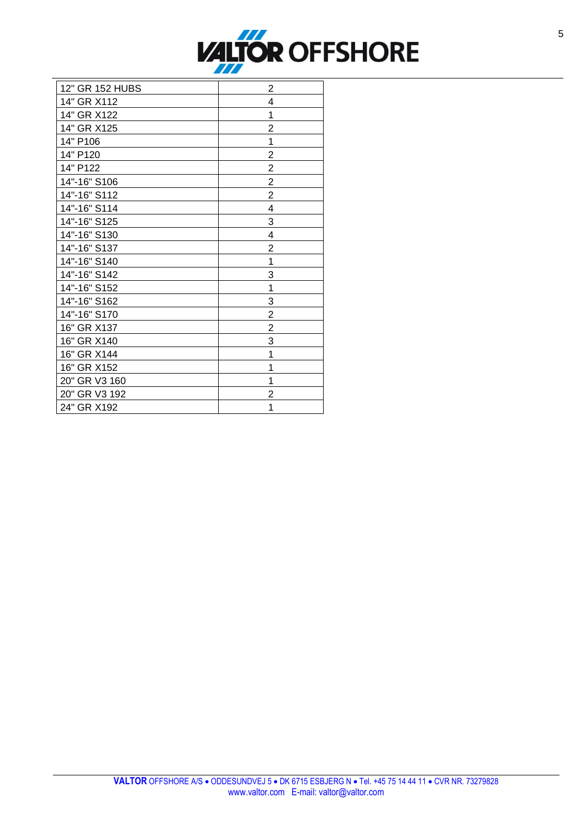

| 12" GR 152 HUBS | $\overline{c}$          |
|-----------------|-------------------------|
| 14" GR X112     | 4                       |
| 14" GR X122     | 1                       |
| 14" GR X125     | $\overline{c}$          |
| 14" P106        | 1                       |
| 14" P120        | $\overline{\mathbf{c}}$ |
| 14" P122        | $\overline{\mathbf{c}}$ |
| 14"-16" S106    | $\overline{\mathbf{c}}$ |
| 14"-16" S112    | $\overline{\mathbf{c}}$ |
| 14"-16" S114    | 4                       |
| 14"-16" S125    | 3                       |
| 14"-16" S130    | 4                       |
| 14"-16" S137    | $\overline{\mathbf{c}}$ |
| 14"-16" S140    | 1                       |
| 14"-16" S142    | $\overline{3}$          |
| 14"-16" S152    | 1                       |
| 14"-16" S162    | 3                       |
| 14"-16" S170    | 2                       |
| 16" GR X137     | $\overline{c}$          |
| 16" GR X140     | 3                       |
| 16" GR X144     | 1                       |
| 16" GR X152     | 1                       |
| 20" GR V3 160   | 1                       |
| 20" GR V3 192   | 2                       |
| 24" GR X192     | 1                       |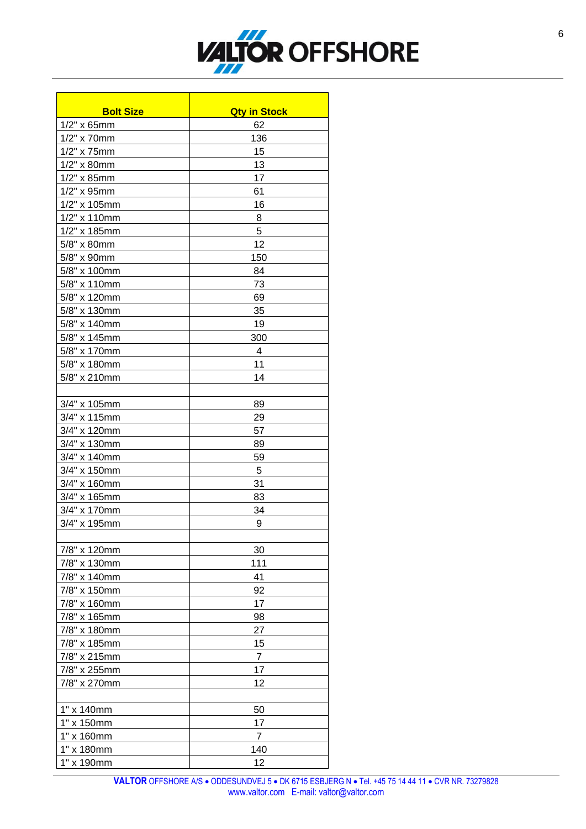

| <b>Bolt Size</b> | <b>Qty in Stock</b> |
|------------------|---------------------|
| $1/2"$ x 65mm    | 62                  |
| 1/2" x 70mm      | 136                 |
| 1/2" x 75mm      | 15                  |
| 1/2" x 80mm      | 13                  |
|                  |                     |
| $1/2"$ x 85mm    | 17                  |
| $1/2"$ x 95mm    | 61                  |
| 1/2" x 105mm     | 16                  |
| 1/2" x 110mm     | 8                   |
| 1/2" x 185mm     | 5                   |
| 5/8" x 80mm      | 12                  |
| 5/8" x 90mm      | 150                 |
| 5/8" x 100mm     | 84                  |
| 5/8" x 110mm     | 73                  |
| 5/8" x 120mm     | 69                  |
| 5/8" x 130mm     | 35                  |
| 5/8" x 140mm     | 19                  |
| 5/8" x 145mm     | 300                 |
| 5/8" x 170mm     | 4                   |
| 5/8" x 180mm     | 11                  |
| 5/8" x 210mm     | 14                  |
|                  |                     |
| $3/4"$ x 105mm   | 89                  |
| 3/4" x 115mm     | 29                  |
| 3/4" x 120mm     | 57                  |
| 3/4" x 130mm     | 89                  |
| 3/4" x 140mm     | 59                  |
| 3/4" x 150mm     | -5                  |
| 3/4" x 160mm     | 31                  |
| 3/4" x 165mm     | 83                  |
| 3/4" x 170mm     | 34                  |
| 3/4" x 195mm     | 9                   |
|                  |                     |
| 7/8" x 120mm     | 30                  |
| 7/8" x 130mm     | 111                 |
| 7/8" x 140mm     | 41                  |
| 7/8" x 150mm     | 92                  |
|                  | 17                  |
| 7/8" x 160mm     |                     |
| 7/8" x 165mm     | 98                  |
| 7/8" x 180mm     | 27                  |
| 7/8" x 185mm     | 15                  |
| 7/8" x 215mm     | $\overline{7}$      |
| 7/8" x 255mm     | 17                  |
| 7/8" x 270mm     | 12                  |
|                  |                     |
| 1" x 140mm       | 50                  |
| 1" x 150mm       | 17                  |
| 1" x 160mm       | $\overline{7}$      |
| 1" x 180mm       | 140                 |
| 1" x 190mm       | 12                  |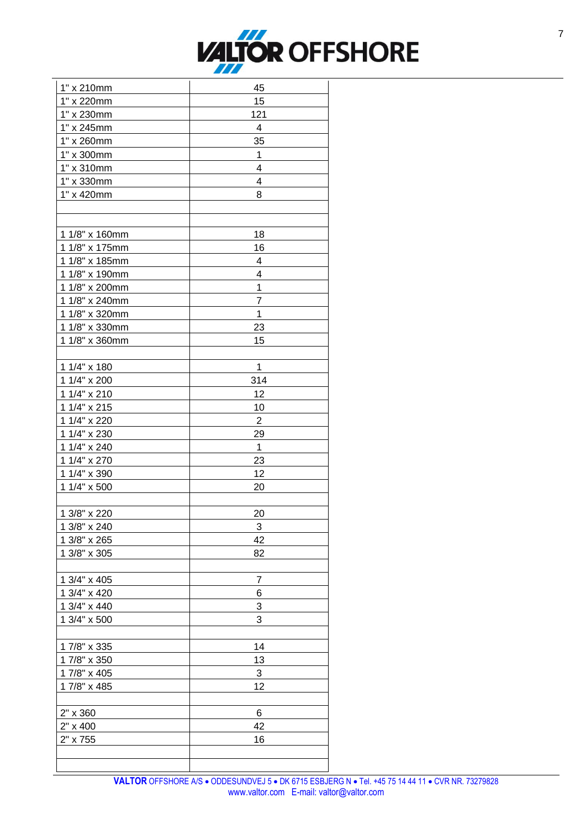

| 1" x 210mm        | 45             |
|-------------------|----------------|
| 1" x 220mm        | 15             |
| 1" x 230mm        | 121            |
| 1" x 245mm        | 4              |
| 1" x 260mm        | 35             |
| 1" x 300mm        | $\mathbf 1$    |
| 1" x 310mm        | 4              |
| 1" x 330mm        | $\overline{4}$ |
| 1" x 420mm        | 8              |
|                   |                |
|                   |                |
| 1 1/8" x 160mm    | 18             |
| 1 1/8" x 175mm    | 16             |
| 1 1/8" x 185mm    | 4              |
| 1 1/8" x 190mm    | 4              |
| 1 1/8" x 200mm    | $\mathbf{1}$   |
| 1 1/8" x 240mm    | $\overline{7}$ |
| 1 1/8" x 320mm    | $\mathbf{1}$   |
| 1 1/8" x 330mm    | 23             |
| 1 1/8" x 360mm    | 15             |
|                   |                |
| 1 1/4" x 180      | $\mathbf 1$    |
| 1 1/4" x 200      | 314            |
| 1 $1/4$ " x 210   | 12             |
| 1 1/4" x 215      | 10             |
| 1 1/4" x 220      | $\overline{2}$ |
| 1 1/4" x 230      | 29             |
| 1 $1/4$ " x $240$ | $\mathbf{1}$   |
| 1 1/4" x 270      | 23             |
| 1 1/4" x 390      | 12             |
| 1 1/4" x 500      | 20             |
|                   |                |
| 1 3/8" x 220      | 20             |
| 1 3/8" x 240      | 3              |
| 1 3/8" x 265      | 42             |
| 1 3/8" x 305      | 82             |
|                   |                |
| 1 3/4" x 405      | 7              |
| 1 3/4" x 420      | 6              |
| 1 3/4" x 440      | 3              |
| 1 3/4" x 500      | 3              |
|                   |                |
| 17/8" x 335       | 14             |
| 17/8" x 350       | 13             |
| 17/8" x 405       | 3              |
| 17/8" x 485       | 12             |
|                   |                |
| 2" x 360          | 6              |
| 2" x 400          | 42             |
| 2" x 755          | 16             |
|                   |                |
|                   |                |
|                   |                |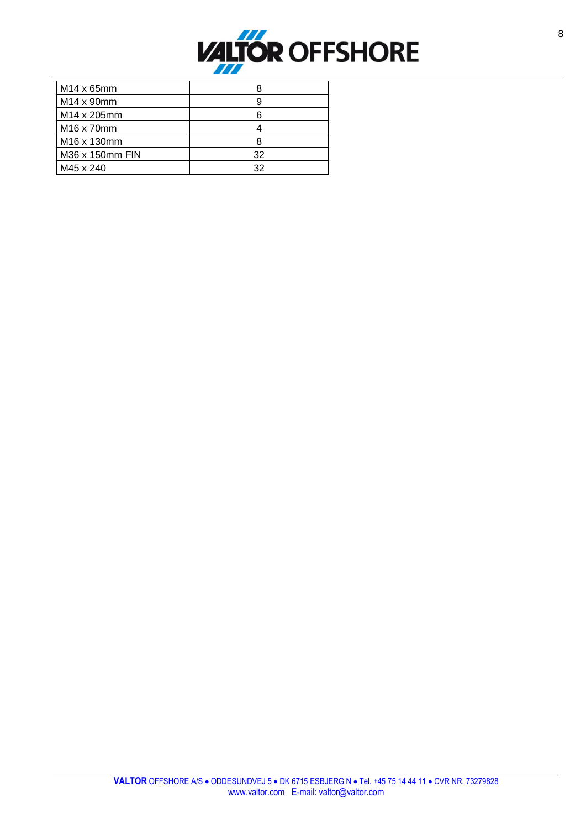

| M14 x 65mm                         |    |
|------------------------------------|----|
| $M14 \times 90$ mm                 | 9  |
| M14 x 205mm                        | 6  |
| M <sub>16</sub> x 70 <sub>mm</sub> |    |
| M16 x 130mm                        | 8  |
| M36 x 150mm FIN                    | 32 |
| M45 x 240                          | 32 |